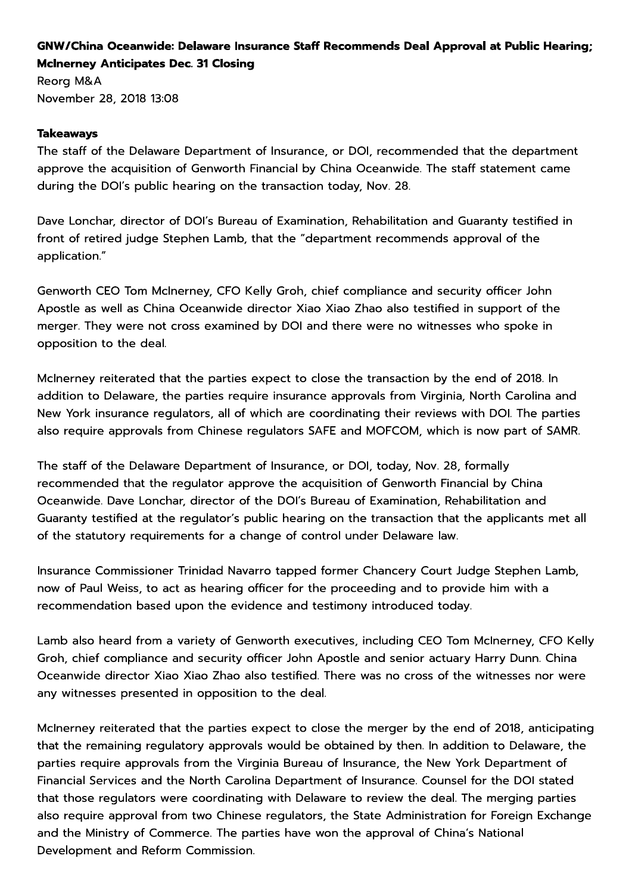## GNW/China Oceanwide: Delaware Insurance Staff Recommends Deal Approval at Public Hearing; McInerney Anticipates Dec. 31 Closing

Reorg M&A  $M&A$ November 28, 2018 13:08

## Takeaways

**China Oceanwide: Delaware Insurance Stainey Anticipates Dec. 31 Closing<br>M&A<br>ber 28, 2018 13:08<br><b>ways**<br>aff of the Delaware Department of Insurar<br>ve the acquisition of Genworth Financial b The staff of the Delaware Department of Insurance, or DOI, recommended that the department approve the acquisition of Genworth Financial by China Oceanwide. The staff statement came during the DOI's public hearing on the transaction today, Nov. 28.

Dave Lonchar, director of DOI's Bureau of Examination, Rehabilitation and Guaranty testified in front of retired judge Stephen Lamb, that the department recommends approval of the  $\,$ application."

Genworth CEO Tom McInerney, CFO Kelly Groh, chief compliance and security officer John Apostle as well as China Oceanwide director Xiao Xiao Zhao also testified in support of the merger. They were not cross examined by DOI and there were no witnesses who spoke in opposition to the deal.

McInerney reiterated that the parties expect to close the transaction by the end of 2018. In addition to Delaware, the parties require insurance approvals from Virginia, North Carolina and New York insurance regulators, all of which are coordinating their reviews with DOI. The parties also require approvals from Chinese regulators SAFE and MOFCOM, which is now part of SAMR.

The staff of the Delaware Department of Insurance, or DOI, today, Nov. 28, formally recommended that the regulator approve the acquisition of Genworth Financial by China Oceanwide. Dave Lonchar, director of the DOI's Bureau of Examination, Rehabilitation and Guaranty testified at the regulator's public hearing on the transaction that the applicants met all of the statutory requirements for a change of control under Delaware law.

Insurance Commissioner Trinidad Navarro tapped former Chancery Court Judge Stephen Lamb, now of Paul Weiss, to act as hearing officer for the proceeding and to provide him with a recommendation based upon the evidence and testimony introduced today.

Lamb also heard from a variety of Genworth executives, including CEO Tom McInerney, CFO Kelly Gron, chief compliance and security officer John Apostle and senior actuary Harry Dunn. China Oceanwide director Xiao Xiao Zhao also testified. There was no cross of the witnesses nor were any witnesses presented in opposition to the deal.

McInerney reiterated that the parties expect to close the merger by the end of 2018, anticipating that the remaining regulatory approvals would be obtained by then. In addition to Delaware, the parties require approvals from the Virginia Bureau of Insurance, the New York Department of Financial Services and the North Carolina Department of Insurance. Counsel for the DOI stated that those regulators were coordinating with Delaware to review the deal. The merging parties  $\,$ also require approval from two Chinese regulators, the State Administration for Foreign Exchange i and the Ministry of Commerce. The parties have won the approval of China's National Development and Reform Commission.